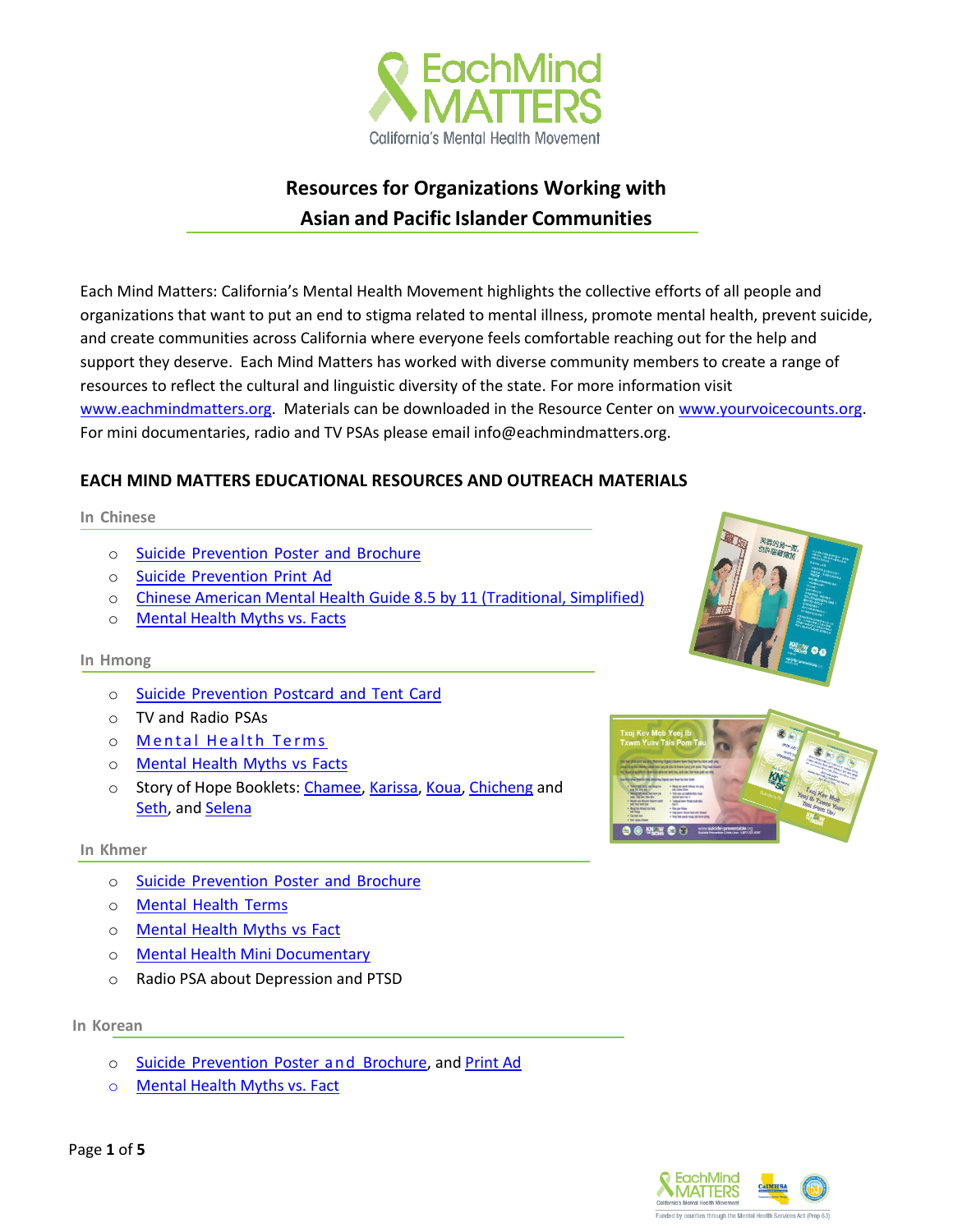

# **Resources for Organizations Working with Asian and Pacific Islander Communities**

Each Mind Matters: California's Mental Health Movement highlights the collective efforts of all people and organizations that want to put an end to stigma related to mental illness, promote mental health, prevent suicide, and create communities across California where everyone feels comfortable reaching out for the help and support they deserve. Each Mind Matters has worked with diverse community members to create a range of resources to reflect the cultural and linguistic diversity of the state. For more information visit [www.eachmindmatters.org.](http://www.eachmindmatters.org/) Materials can be downloaded in the Resource Center on [www.yourvoicecounts.org.](http://www.yourvoicecounts.org/) For mini documentaries, radio and TV PSAs please email info@eachmindmatters.org.

# **EACH MIND MATTERS EDUCATIONAL RESOURCES AND OUTREACH MATERIALS**

**In Chinese**

- o Suicide [Prevention](http://resource-center.yourvoicecounts.org/content/outreach-materials-chinese-community-reports-handout-poster-and-brochure) Poster and Brochure
- o Suicide [Prevention](http://resource-center.yourvoicecounts.org/content/chinese-print-ad) Print Ad
- o [Chinese American Mental Health Guide](http://www.eachmindmatters.org/get-involved/spread-the-word/mhsg-chineseamerican/) 8.5 by 11 (Traditional, Simplified)
- o [Mental Health Myths vs. Facts](https://www.dropbox.com/s/ujnj8uv24ob9yac/Chinese%20Myth%20and%20Facts.pdf?dl=0)

#### **In Hmong**

- o Suicide [Prevention](http://resource-center.yourvoicecounts.org/content/outreach-materials-hmong-community-reports-handout-post-card-and-tent-card) Postcard and Tent Card
- o TV and Radio PSAs
- o Mental Health Terms
- o [Mental](http://www.speakourminds.org/wp-content/uploads/2014/04/HM_Stigma-Myths-Facts.pdf) Health Myths vs Facts
- o Story of Hope Booklets: [Chamee,](https://www.dropbox.com/s/quwdu4pf748rcls/API.storytelling_ChameeMous%28Hmong%29illus.pdf?dl=0) [Karissa,](https://www.dropbox.com/s/x6f3zpkztjw6tq7/API.Storytelling_Karissa%20Lee%20%28Hmong%29.pdf?dl=0) [Koua,](https://www.dropbox.com/s/b52v5kqz7u5icr6/API.storytelling_KouaVue%28Hmong%29illus.pdf?dl=0) [Chicheng](https://www.dropbox.com/s/z932kohongbq1oz/API.Storytelling_Chicheng%20Justin%20Vang%28Hmong%29.pdf?dl=0) and [Seth,](https://www.dropbox.com/s/izqi13kzx8iasf2/API.Storytelling_Seth%20Moua%28Hmong%29.pdf?dl=0) and [Selena](https://www.dropbox.com/s/fc2qjsm51gp0w4l/API.Storytelling_Selena%20Vang%28Hmong%29.pdf?dl=0)

#### **In Khmer**

- o Suicide [Prevention](http://resource-center.yourvoicecounts.org/content/outreach-materials-khmer-speaking-community-reports-poster-and-brochure) Poster and Brochure
- o [Mental](http://www.speakourminds.org/wp-content/uploads/2014/04/KHM_Mental-Health-Terms.pdf) Health Terms
- o [Mental](http://www.speakourminds.org/wp-content/uploads/2014/04/KHM_Stigma-Myths-Facts.pdf) Health Myths vs Fact
- o [Mental Health Mini Documentary](https://www.dropbox.com/s/emwcfpngej09nly/Cambodian%20video.mp4?dl=0)
- o Radio PSA about Depression and PTSD

**In Korean**

- o Suicide [Prevention](http://resource-center.yourvoicecounts.org/content/outreach-materials-korean-community-reports-handout-poster-and-brochure) Poster and Brochure, and [Print Ad](http://resource-center.yourvoicecounts.org/content/korean-print-ad)
- o [Mental Health Myths vs. Fact](https://www.dropbox.com/s/ch8avuj3xqkgff6/Korean%20Myth%20and%20Facts.pdf?dl=0)





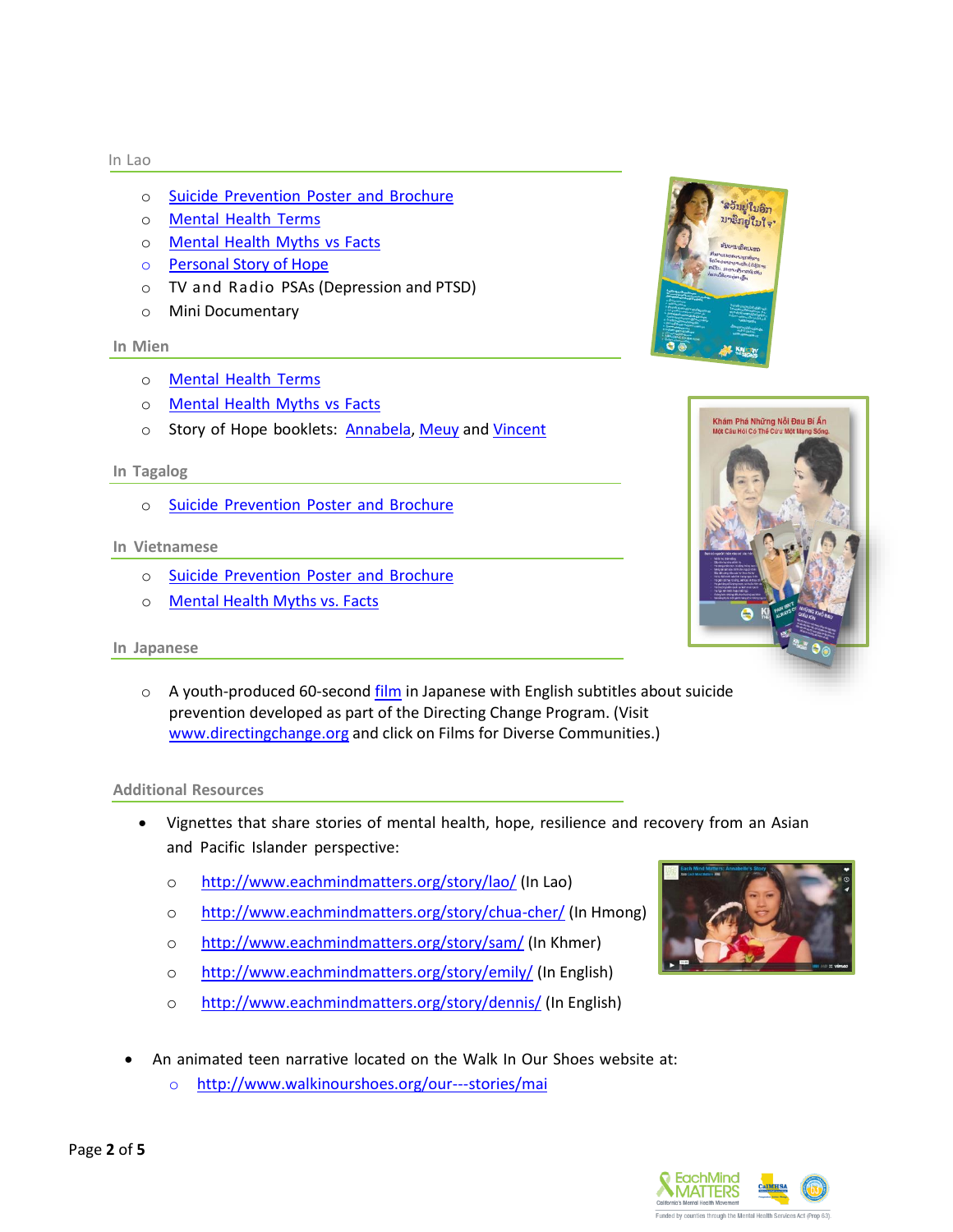#### In Lao

- o Suicide [Prevention](http://resource-center.yourvoicecounts.org/content/outreach-materials-lao-community-reports-poster-and-brochure) Poster and Brochure
- o [Mental](http://www.speakourminds.org/wp-content/uploads/2014/04/LAO_Mental-Health-Terms.pdf) Health Terms
- o [Mental](http://www.speakourminds.org/wp-content/uploads/2014/04/LAO_Stigma-Myths-Facts.pdf) Health Myths vs Facts
- o [Personal Story of Hope](https://vimeo.com/101459762)
- o TV and Radio PSAs (Depression and PTSD)
- o Mini Documentary

#### **In Mien**

- o [Mental](http://www.speakourminds.org/wp-content/uploads/2014/04/MN_Mental-Health-Terms.pdf) Health Terms
- o [Mental](http://www.speakourminds.org/wp-content/uploads/2014/04/MN_Stigma-Myths-Facts.pdf) Health Myths vs Facts
- o Story of Hope booklets: [Annabela,](https://www.dropbox.com/s/lncq5l6bx3n4lic/API.Storytelling_Annabela%20Saechou%28Mien%29.pdf?dl=0) [Meuy](https://www.dropbox.com/s/4rha83qknozofih/API.Storytelling_Meuy%20Vue%28Mien%29.pdf?dl=0) an[d Vincent](https://www.dropbox.com/s/grrlqsy3haf2u4f/API.storytelling_VincentSaechao%28Mien%29illus.pdf?dl=0)

#### **In Tagalog**

o Suicide [Prevention](http://resource-center.yourvoicecounts.org/content/outreach-materials-filipino-community-reports-handout-posters-and-brochure) Poster and Brochure

#### **In Vietnamese**

- o Suicide [Prevention](http://resource-center.yourvoicecounts.org/content/outreach-materials-vietnamese-community-reports-handout-posters-and-brochure) Poster and Brochure
- o [Mental Health Myths vs. Facts](https://www.dropbox.com/s/lsp33b7mp8hhpmp/Vietnamese%20Myth%20and%20Facts.pdf?dl=0)

#### **In Japanese**

o A youth-produced 60-second [film](https://www.youtube.com/watch?v=aTRqBfKvH1g&feature=youtu.be) in Japanese with English subtitles about suicide prevention developed as part of the Directing Change Program. (Visit [www.directingchange.org](http://www.directingchange.org/) and click on Films for Diverse Communities.)

#### **Additional Resources**

- Vignettes that share stories of mental health, hope, resilience and recovery from an Asian and Pacific Islander perspective:
	- o <http://www.eachmindmatters.org/story/lao/> (In Lao)
	- o <http://www.eachmindmatters.org/story/chua-cher/> (In Hmong)
	- o <http://www.eachmindmatters.org/story/sam/> (In Khmer)
	- o <http://www.eachmindmatters.org/story/emily/> (In English)
	- o <http://www.eachmindmatters.org/story/dennis/> (In English)
- An animated teen narrative located on the Walk In Our Shoes website at:
	- o [http://www.walkinourshoes.org/our-](http://www.walkinourshoes.org/our-stories/mai)--stories/mai







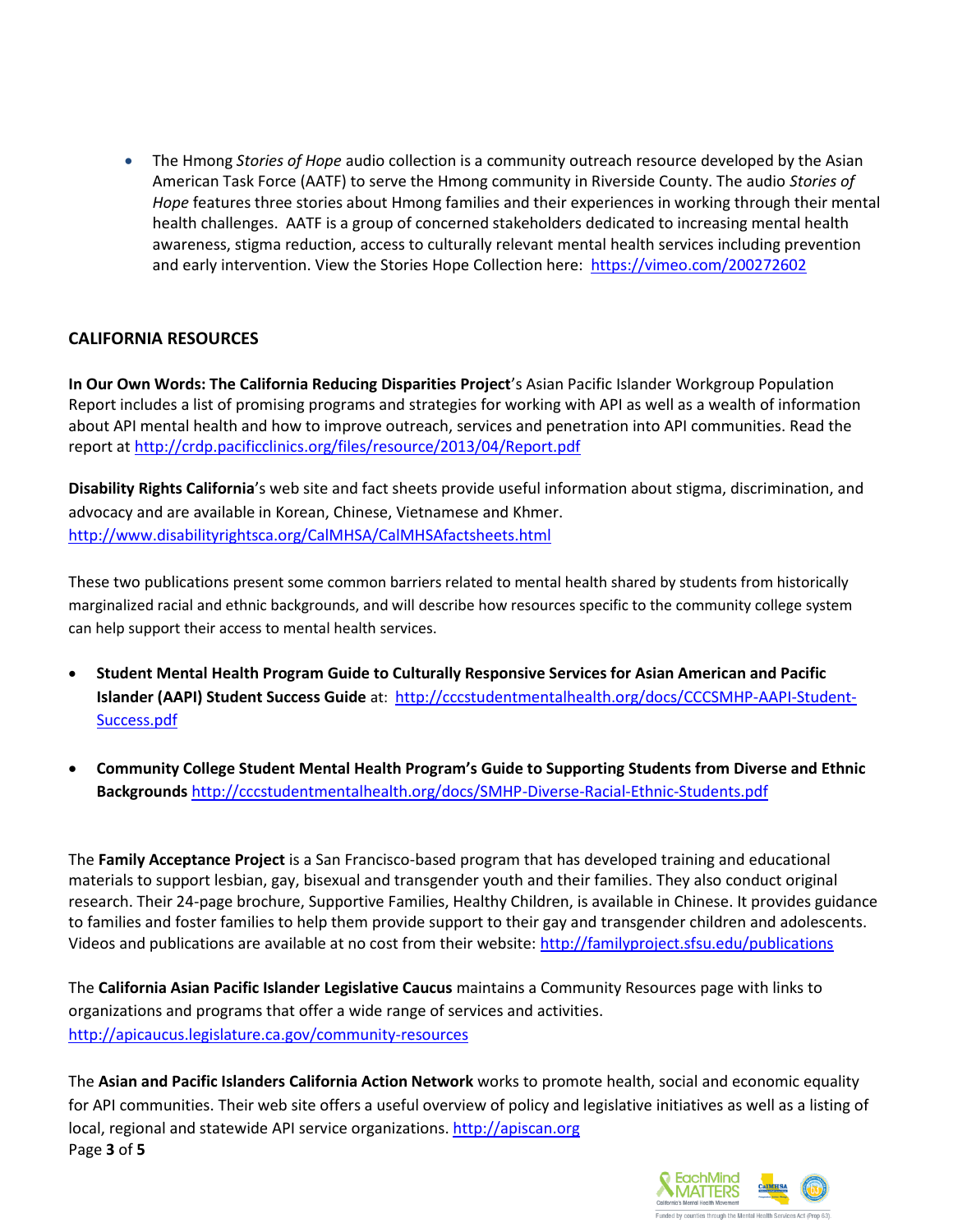The Hmong *Stories of Hope* audio collection is a community outreach resource developed by the Asian American Task Force (AATF) to serve the Hmong community in Riverside County. The audio *Stories of Hope* features three stories about Hmong families and their experiences in working through their mental health challenges. AATF is a group of concerned stakeholders dedicated to increasing mental health awareness, stigma reduction, access to culturally relevant mental health services including prevention and early intervention. View the Stories Hope Collection here:<https://vimeo.com/200272602>

## **CALIFORNIA RESOURCES**

**In Our Own Words: The California Reducing Disparities Project**'s Asian Pacific Islander Workgroup Population Report includes a list of promising programs and strategies for working with API as well as a wealth of information about API mental health and how to improve outreach, services and penetration into API communities. Read the report at<http://crdp.pacificclinics.org/files/resource/2013/04/Report.pdf>

**Disability Rights California**'s web site and fact sheets provide useful information about stigma, discrimination, and advocacy and are available in Korean, Chinese, Vietnamese and Khmer. <http://www.disabilityrightsca.org/CalMHSA/CalMHSAfactsheets.html>

These two publications present some common barriers related to mental health shared by students from historically marginalized racial and ethnic backgrounds, and will describe how resources specific to the community college system can help support their access to mental health services.

- **Student Mental Health Program Guide to Culturally Responsive Services for Asian American and Pacific Islander (AAPI) Student Success Guide** at: [http://cccstudentmentalhealth.org/docs/CCCSMHP-AAPI-Student-](http://cccstudentmentalhealth.org/docs/CCCSMHP-AAPI-Student-Success.pdf)[Success.pdf](http://cccstudentmentalhealth.org/docs/CCCSMHP-AAPI-Student-Success.pdf)
- **Community College Student Mental Health Program's Guide to Supporting Students from Diverse and Ethnic Backgrounds** <http://cccstudentmentalhealth.org/docs/SMHP-Diverse-Racial-Ethnic-Students.pdf>

The **Family Acceptance Project** is a San Francisco-based program that has developed training and educational materials to support lesbian, gay, bisexual and transgender youth and their families. They also conduct original research. Their 24-page brochure, Supportive Families, Healthy Children, is available in Chinese. It provides guidance to families and foster families to help them provide support to their gay and transgender children and adolescents. Videos and publications are available at no cost from their website:<http://familyproject.sfsu.edu/publications>

The **California Asian Pacific Islander Legislative Caucus** maintains a Community Resources page with links to organizations and programs that offer a wide range of services and activities. <http://apicaucus.legislature.ca.gov/community-resources>

Page **3** of **5** The **Asian and Pacific Islanders California Action Network** works to promote health, social and economic equality for API communities. Their web site offers a useful overview of policy and legislative initiatives as well as a listing of local, regional and statewide API service organizations. [http://apiscan.org](http://apiscan.org/)

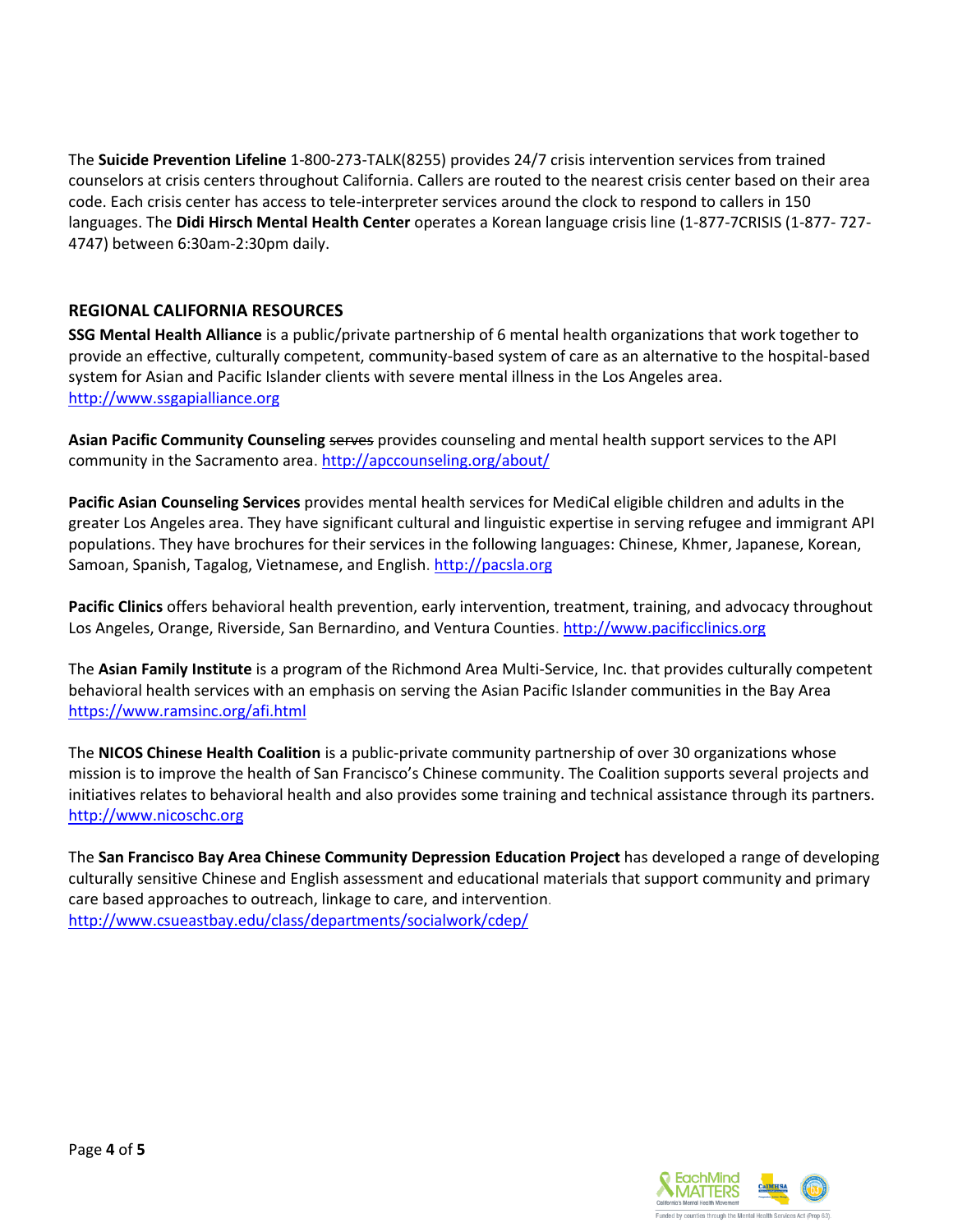The **Suicide Prevention Lifeline** 1-800-273-TALK(8255) provides 24/7 crisis intervention services from trained counselors at crisis centers throughout California. Callers are routed to the nearest crisis center based on their area code. Each crisis center has access to tele-interpreter services around the clock to respond to callers in 150 languages. The **Didi Hirsch Mental Health Center** operates a Korean language crisis line (1-877-7CRISIS (1-877- 727- 4747) between 6:30am-2:30pm daily.

## **REGIONAL CALIFORNIA RESOURCES**

**SSG Mental Health Alliance** is a public/private partnership of 6 mental health organizations that work together to provide an effective, culturally competent, community-based system of care as an alternative to the hospital-based system for Asian and Pacific Islander clients with severe mental illness in the Los Angeles area. [http://www.ssgapialliance.org](http://www.ssgapialliance.org/)

**Asian Pacific Community Counseling** serves provides counseling and mental health support services to the API community in the Sacramento area[. http://apccounseling.org/about/](http://apccounseling.org/about/)

**Pacific Asian Counseling Services** provides mental health services for MediCal eligible children and adults in the greater Los Angeles area. They have significant cultural and linguistic expertise in serving refugee and immigrant API populations. They have brochures for their services in the following languages: Chinese, Khmer, Japanese, Korean, Samoan, Spanish, Tagalog, Vietnamese, and English. [http://pacsla.org](http://pacsla.org/)

**Pacific Clinics** offers behavioral health prevention, early intervention, treatment, training, and advocacy throughout Los Angeles, Orange, Riverside, San Bernardino, and Ventura Counties. [http://www.pacificclinics.org](http://www.pacificclinics.org/)

The **Asian Family Institute** is a program of the Richmond Area Multi-Service, Inc. that provides culturally competent behavioral health services with an emphasis on serving the Asian Pacific Islander communities in the Bay Area <https://www.ramsinc.org/afi.html>

The **NICOS Chinese Health Coalition** is a public-private community partnership of over 30 organizations whose mission is to improve the health of San Francisco's Chinese community. The Coalition supports several projects and initiatives relates to behavioral health and also provides some training and technical assistance through its partners. [http://www.nicoschc.org](http://www.nicoschc.org/)

The **San Francisco Bay Area Chinese Community Depression Education Project** has developed a range of developing culturally sensitive Chinese and English assessment and educational materials that support community and primary care based approaches to outreach, linkage to care, and intervention. <http://www.csueastbay.edu/class/departments/socialwork/cdep/>